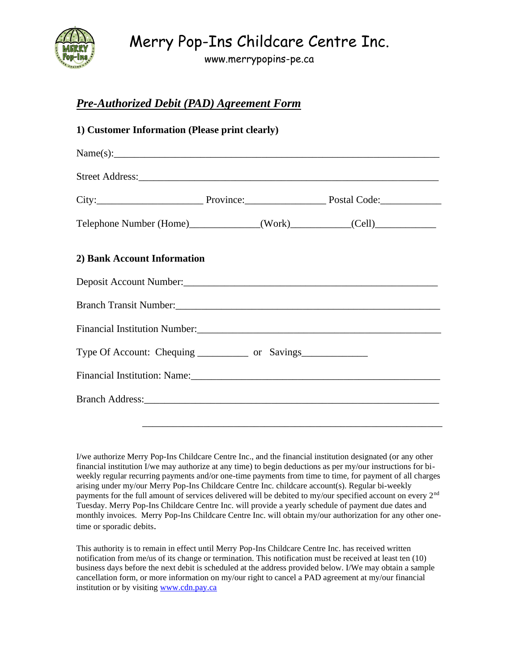

## Merry Pop-Ins Childcare Centre Inc.

www.merrypopins-pe.ca

## *Pre-Authorized Debit (PAD) Agreement Form*

| Name(s):                                                                                                                                                                                                                             |  |  |
|--------------------------------------------------------------------------------------------------------------------------------------------------------------------------------------------------------------------------------------|--|--|
|                                                                                                                                                                                                                                      |  |  |
|                                                                                                                                                                                                                                      |  |  |
| Telephone Number (Home)______________(Work)___________(Cell)____________________                                                                                                                                                     |  |  |
| 2) Bank Account Information                                                                                                                                                                                                          |  |  |
|                                                                                                                                                                                                                                      |  |  |
| Branch Transit Number: 1990 and 1990 and 1990 and 1990 and 1990 and 1990 and 1990 and 1990 and 1990 and 1990 and 1990 and 1990 and 1990 and 1990 and 1990 and 1990 and 1990 and 1990 and 1990 and 1990 and 1990 and 1990 and 1       |  |  |
|                                                                                                                                                                                                                                      |  |  |
| Type Of Account: Chequing _____________ or Savings_______________________________                                                                                                                                                    |  |  |
|                                                                                                                                                                                                                                      |  |  |
| Branch Address: <u>and a series of the series of the series of the series of the series of the series of the series of the series of the series of the series of the series of the series of the series of the series of the ser</u> |  |  |
|                                                                                                                                                                                                                                      |  |  |

I/we authorize Merry Pop-Ins Childcare Centre Inc., and the financial institution designated (or any other financial institution I/we may authorize at any time) to begin deductions as per my/our instructions for biweekly regular recurring payments and/or one-time payments from time to time, for payment of all charges arising under my/our Merry Pop-Ins Childcare Centre Inc. childcare account(s). Regular bi-weekly payments for the full amount of services delivered will be debited to my/our specified account on every 2<sup>nd</sup> Tuesday. Merry Pop-Ins Childcare Centre Inc. will provide a yearly schedule of payment due dates and monthly invoices. Merry Pop-Ins Childcare Centre Inc. will obtain my/our authorization for any other onetime or sporadic debits.

This authority is to remain in effect until Merry Pop-Ins Childcare Centre Inc. has received written notification from me/us of its change or termination. This notification must be received at least ten (10) business days before the next debit is scheduled at the address provided below. I/We may obtain a sample cancellation form, or more information on my/our right to cancel a PAD agreement at my/our financial institution or by visiting [www.cdn.pay.ca](http://www.cdn.pay.ca/)